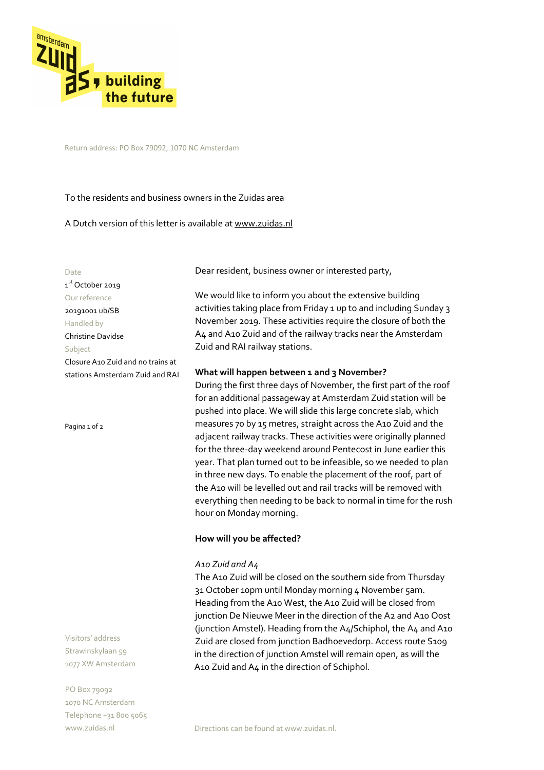

Return address: PO Box 79092, 1070 NC Amsterdam

To the residents and business owners in the Zuidas area

A Dutch version of this letter is available at www.zuidas.nl

Date 1<sup>st</sup> October 2019 Our reference 20191001 ub/SB Handled by Christine Davidse Subject Closure A10 Zuid and no trains at stations Amsterdam Zuid and RAI

Pagina 1 of 2

Visitors' address Strawinskylaan 59 1077 XW Amsterdam

PO Box 79092 1070 NC Amsterdam Telephone +31 800 5065 www.zuidas.nl

Dear resident, business owner or interested party,

We would like to inform you about the extensive building activities taking place from Friday 1 up to and including Sunday 3 November 2019. These activities require the closure of both the A4 and A10 Zuid and of the railway tracks near the Amsterdam Zuid and RAI railway stations.

## **What will happen between 1 and 3 November?**

During the first three days of November, the first part of the roof for an additional passageway at Amsterdam Zuid station will be pushed into place. We will slide this large concrete slab, which measures 70 by 15 metres, straight across the A10 Zuid and the adjacent railway tracks. These activities were originally planned for the three-day weekend around Pentecost in June earlier this year. That plan turned out to be infeasible, so we needed to plan in three new days. To enable the placement of the roof, part of the A10 will be levelled out and rail tracks will be removed with everything then needing to be back to normal in time for the rush hour on Monday morning.

# **How will you be affected?**

## *A10 Zuid and A4*

The A10 Zuid will be closed on the southern side from Thursday 31 October 10pm until Monday morning 4 November 5am. Heading from the A10 West, the A10 Zuid will be closed from junction De Nieuwe Meer in the direction of the A2 and A10 Oost (junction Amstel). Heading from the A4/Schiphol, the A4 and A10 Zuid are closed from junction Badhoevedorp. Access route S109 in the direction of junction Amstel will remain open, as will the A10 Zuid and A4 in the direction of Schiphol.